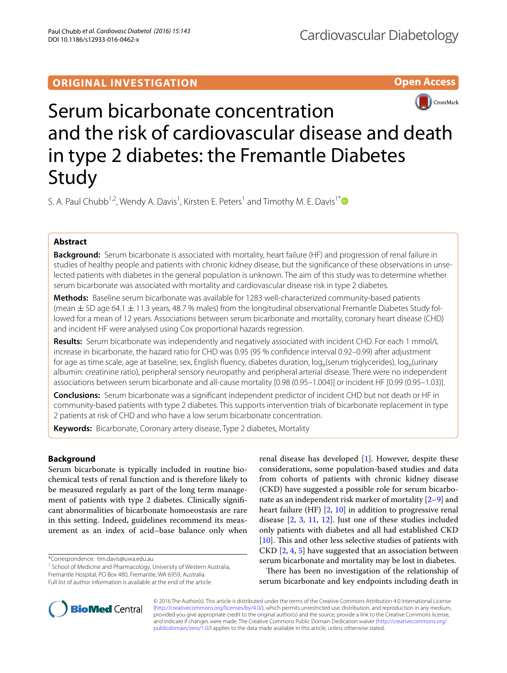## **ORIGINAL INVESTIGATION**

**Open Access**



# Serum bicarbonate concentration and the risk of cardiovascular disease and death in type 2 diabetes: the Fremantle Diabetes Study

S. A. Paul Chubb<sup>1,2</sup>, Wendy A. Davis<sup>1</sup>, Kirsten E. Peters<sup>1</sup> and Timothy M. E. Davis<sup>1[\\*](http://orcid.org/0000-0003-0749-7411)</sup>

### **Abstract**

**Background:** Serum bicarbonate is associated with mortality, heart failure (HF) and progression of renal failure in studies of healthy people and patients with chronic kidney disease, but the significance of these observations in unselected patients with diabetes in the general population is unknown. The aim of this study was to determine whether serum bicarbonate was associated with mortality and cardiovascular disease risk in type 2 diabetes.

**Methods:** Baseline serum bicarbonate was available for 1283 well-characterized community-based patients (mean  $\pm$  SD age 64.1  $\pm$  11.3 years, 48.7 % males) from the longitudinal observational Fremantle Diabetes Study followed for a mean of 12 years. Associations between serum bicarbonate and mortality, coronary heart disease (CHD) and incident HF were analysed using Cox proportional hazards regression.

**Results:** Serum bicarbonate was independently and negatively associated with incident CHD. For each 1 mmol/L increase in bicarbonate, the hazard ratio for CHD was 0.95 (95 % confidence interval 0.92–0.99) after adjustment for age as time scale, age at baseline, sex, English fluency, diabetes duration,  $log_e$ (serum triglycerides),  $log_e$ (urinary albumin: creatinine ratio), peripheral sensory neuropathy and peripheral arterial disease. There were no independent associations between serum bicarbonate and all-cause mortality [0.98 (0.95–1.004)] or incident HF [0.99 (0.95–1.03)].

**Conclusions:** Serum bicarbonate was a significant independent predictor of incident CHD but not death or HF in community-based patients with type 2 diabetes. This supports intervention trials of bicarbonate replacement in type 2 patients at risk of CHD and who have a low serum bicarbonate concentration.

**Keywords:** Bicarbonate, Coronary artery disease, Type 2 diabetes, Mortality

#### **Background**

Serum bicarbonate is typically included in routine biochemical tests of renal function and is therefore likely to be measured regularly as part of the long term management of patients with type 2 diabetes. Clinically significant abnormalities of bicarbonate homoeostasis are rare in this setting. Indeed, guidelines recommend its measurement as an index of acid–base balance only when

\*Correspondence: tim.davis@uwa.edu.au

renal disease has developed [\[1](#page-8-0)]. However, despite these considerations, some population-based studies and data from cohorts of patients with chronic kidney disease (CKD) have suggested a possible role for serum bicarbonate as an independent risk marker of mortality  $[2-9]$  $[2-9]$  and heart failure (HF) [[2](#page-8-1), [10](#page-9-1)] in addition to progressive renal disease [[2,](#page-8-1) [3](#page-8-2), [11](#page-9-2), [12\]](#page-9-3). Just one of these studies included only patients with diabetes and all had established CKD [[10\]](#page-9-1). This and other less selective studies of patients with CKD [\[2](#page-8-1), [4,](#page-8-3) [5\]](#page-8-4) have suggested that an association between serum bicarbonate and mortality may be lost in diabetes.

There has been no investigation of the relationship of serum bicarbonate and key endpoints including death in



© 2016 The Author(s). This article is distributed under the terms of the Creative Commons Attribution 4.0 International License [\(http://creativecommons.org/licenses/by/4.0/\)](http://creativecommons.org/licenses/by/4.0/), which permits unrestricted use, distribution, and reproduction in any medium, provided you give appropriate credit to the original author(s) and the source, provide a link to the Creative Commons license, and indicate if changes were made. The Creative Commons Public Domain Dedication waiver ([http://creativecommons.org/](http://creativecommons.org/publicdomain/zero/1.0/) [publicdomain/zero/1.0/](http://creativecommons.org/publicdomain/zero/1.0/)) applies to the data made available in this article, unless otherwise stated.

<sup>&</sup>lt;sup>1</sup> School of Medicine and Pharmacology, University of Western Australia, Fremantle Hospital, PO Box 480, Fremantle, WA 6959, Australia Full list of author information is available at the end of the article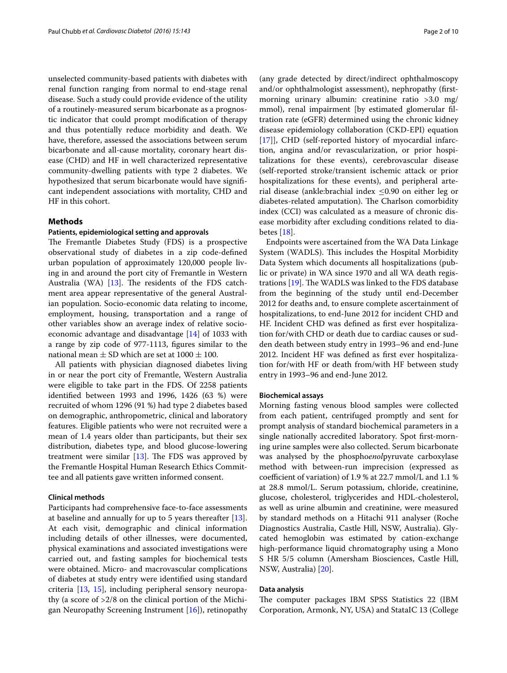unselected community-based patients with diabetes with renal function ranging from normal to end-stage renal disease. Such a study could provide evidence of the utility of a routinely-measured serum bicarbonate as a prognostic indicator that could prompt modification of therapy and thus potentially reduce morbidity and death. We have, therefore, assessed the associations between serum bicarbonate and all-cause mortality, coronary heart disease (CHD) and HF in well characterized representative community-dwelling patients with type 2 diabetes. We hypothesized that serum bicarbonate would have significant independent associations with mortality, CHD and HF in this cohort.

#### **Methods**

#### **Patients, epidemiological setting and approvals**

The Fremantle Diabetes Study (FDS) is a prospective observational study of diabetes in a zip code-defined urban population of approximately 120,000 people living in and around the port city of Fremantle in Western Australia (WA) [[13](#page-9-4)]. The residents of the FDS catchment area appear representative of the general Australian population. Socio-economic data relating to income, employment, housing, transportation and a range of other variables show an average index of relative socioeconomic advantage and disadvantage [[14\]](#page-9-5) of 1033 with a range by zip code of 977-1113, figures similar to the national mean  $\pm$  SD which are set at 1000  $\pm$  100.

All patients with physician diagnosed diabetes living in or near the port city of Fremantle, Western Australia were eligible to take part in the FDS. Of 2258 patients identified between 1993 and 1996, 1426 (63 %) were recruited of whom 1296 (91 %) had type 2 diabetes based on demographic, anthropometric, clinical and laboratory features. Eligible patients who were not recruited were a mean of 1.4 years older than participants, but their sex distribution, diabetes type, and blood glucose-lowering treatment were similar [[13](#page-9-4)]. The FDS was approved by the Fremantle Hospital Human Research Ethics Committee and all patients gave written informed consent.

#### **Clinical methods**

Participants had comprehensive face-to-face assessments at baseline and annually for up to 5 years thereafter [\[13](#page-9-4)]. At each visit, demographic and clinical information including details of other illnesses, were documented, physical examinations and associated investigations were carried out, and fasting samples for biochemical tests were obtained. Micro- and macrovascular complications of diabetes at study entry were identified using standard criteria [\[13](#page-9-4), [15](#page-9-6)], including peripheral sensory neuropathy (a score of >2/8 on the clinical portion of the Michigan Neuropathy Screening Instrument  $[16]$  $[16]$ ), retinopathy

(any grade detected by direct/indirect ophthalmoscopy and/or ophthalmologist assessment), nephropathy (firstmorning urinary albumin: creatinine ratio >3.0 mg/ mmol), renal impairment [by estimated glomerular filtration rate (eGFR) determined using the chronic kidney disease epidemiology collaboration (CKD-EPI) equation [[17\]](#page-9-8)], CHD (self-reported history of myocardial infarction, angina and/or revascularization, or prior hospitalizations for these events), cerebrovascular disease (self-reported stroke/transient ischemic attack or prior hospitalizations for these events), and peripheral arterial disease (ankle:brachial index  $\leq$ 0.90 on either leg or diabetes-related amputation). The Charlson comorbidity index (CCI) was calculated as a measure of chronic disease morbidity after excluding conditions related to diabetes [[18](#page-9-9)].

Endpoints were ascertained from the WA Data Linkage System (WADLS). This includes the Hospital Morbidity Data System which documents all hospitalizations (public or private) in WA since 1970 and all WA death registrations [[19\]](#page-9-10). The WADLS was linked to the FDS database from the beginning of the study until end-December 2012 for deaths and, to ensure complete ascertainment of hospitalizations, to end-June 2012 for incident CHD and HF. Incident CHD was defined as first ever hospitalization for/with CHD or death due to cardiac causes or sudden death between study entry in 1993–96 and end-June 2012. Incident HF was defined as first ever hospitalization for/with HF or death from/with HF between study entry in 1993–96 and end-June 2012.

#### **Biochemical assays**

Morning fasting venous blood samples were collected from each patient, centrifuged promptly and sent for prompt analysis of standard biochemical parameters in a single nationally accredited laboratory. Spot first-morning urine samples were also collected. Serum bicarbonate was analysed by the phospho*enol*pyruvate carboxylase method with between-run imprecision (expressed as coefficient of variation) of 1.9 % at 22.7 mmol/L and 1.1 % at 28.8 mmol/L. Serum potassium, chloride, creatinine, glucose, cholesterol, triglycerides and HDL-cholesterol, as well as urine albumin and creatinine, were measured by standard methods on a Hitachi 911 analyser (Roche Diagnostics Australia, Castle Hill, NSW, Australia). Glycated hemoglobin was estimated by cation-exchange high-performance liquid chromatography using a Mono S HR 5/5 column (Amersham Biosciences, Castle Hill, NSW, Australia) [[20\]](#page-9-11).

#### **Data analysis**

The computer packages IBM SPSS Statistics 22 (IBM Corporation, Armonk, NY, USA) and StataIC 13 (College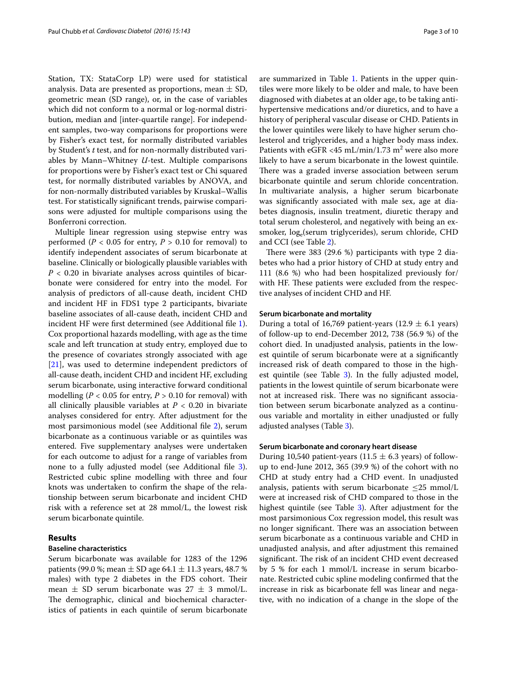Station, TX: StataCorp LP) were used for statistical analysis. Data are presented as proportions, mean  $\pm$  SD, geometric mean (SD range), or, in the case of variables which did not conform to a normal or log-normal distribution, median and [inter-quartile range]. For independent samples, two-way comparisons for proportions were by Fisher's exact test, for normally distributed variables by Student's *t* test, and for non-normally distributed variables by Mann–Whitney *U*-test. Multiple comparisons for proportions were by Fisher's exact test or Chi squared test, for normally distributed variables by ANOVA, and for non-normally distributed variables by Kruskal–Wallis test. For statistically significant trends, pairwise comparisons were adjusted for multiple comparisons using the Bonferroni correction.

Multiple linear regression using stepwise entry was performed ( $P < 0.05$  for entry,  $P > 0.10$  for removal) to identify independent associates of serum bicarbonate at baseline. Clinically or biologically plausible variables with  $P < 0.20$  in bivariate analyses across quintiles of bicarbonate were considered for entry into the model. For analysis of predictors of all-cause death, incident CHD and incident HF in FDS1 type 2 participants, bivariate baseline associates of all-cause death, incident CHD and incident HF were first determined (see Additional file [1](#page-8-5)). Cox proportional hazards modelling, with age as the time scale and left truncation at study entry, employed due to the presence of covariates strongly associated with age [[21\]](#page-9-12), was used to determine independent predictors of all-cause death, incident CHD and incident HF, excluding serum bicarbonate, using interactive forward conditional modelling ( $P < 0.05$  for entry,  $P > 0.10$  for removal) with all clinically plausible variables at  $P < 0.20$  in bivariate analyses considered for entry. After adjustment for the most parsimonious model (see Additional file [2\)](#page-8-6), serum bicarbonate as a continuous variable or as quintiles was entered. Five supplementary analyses were undertaken for each outcome to adjust for a range of variables from none to a fully adjusted model (see Additional file [3](#page-8-7)). Restricted cubic spline modelling with three and four knots was undertaken to confirm the shape of the relationship between serum bicarbonate and incident CHD risk with a reference set at 28 mmol/L, the lowest risk serum bicarbonate quintile.

#### **Results**

#### **Baseline characteristics**

Serum bicarbonate was available for 1283 of the 1296 patients (99.0 %; mean  $\pm$  SD age 64.1  $\pm$  11.3 years, 48.7 % males) with type 2 diabetes in the FDS cohort. Their mean  $\pm$  SD serum bicarbonate was 27  $\pm$  3 mmol/L. The demographic, clinical and biochemical characteristics of patients in each quintile of serum bicarbonate are summarized in Table [1.](#page-3-0) Patients in the upper quintiles were more likely to be older and male, to have been diagnosed with diabetes at an older age, to be taking antihypertensive medications and/or diuretics, and to have a history of peripheral vascular disease or CHD. Patients in the lower quintiles were likely to have higher serum cholesterol and triglycerides, and a higher body mass index. Patients with eGFR <45 mL/min/1.73 m<sup>2</sup> were also more likely to have a serum bicarbonate in the lowest quintile. There was a graded inverse association between serum bicarbonate quintile and serum chloride concentration. In multivariate analysis, a higher serum bicarbonate was significantly associated with male sex, age at diabetes diagnosis, insulin treatment, diuretic therapy and total serum cholesterol, and negatively with being an exsmoker, log<sub>e</sub>(serum triglycerides), serum chloride, CHD and CCI (see Table [2](#page-4-0)).

There were 383 (29.6 %) participants with type 2 diabetes who had a prior history of CHD at study entry and 111 (8.6 %) who had been hospitalized previously for/ with HF. These patients were excluded from the respective analyses of incident CHD and HF.

#### **Serum bicarbonate and mortality**

During a total of 16,769 patient-years (12.9  $\pm$  6.1 years) of follow-up to end-December 2012, 738 (56.9 %) of the cohort died. In unadjusted analysis, patients in the lowest quintile of serum bicarbonate were at a significantly increased risk of death compared to those in the high-est quintile (see Table [3\)](#page-5-0). In the fully adjusted model, patients in the lowest quintile of serum bicarbonate were not at increased risk. There was no significant association between serum bicarbonate analyzed as a continuous variable and mortality in either unadjusted or fully adjusted analyses (Table [3](#page-5-0)).

#### **Serum bicarbonate and coronary heart disease**

During 10,540 patient-years (11.5  $\pm$  6.3 years) of followup to end-June 2012, 365 (39.9 %) of the cohort with no CHD at study entry had a CHD event. In unadjusted analysis, patients with serum bicarbonate  $\leq$ 25 mmol/L were at increased risk of CHD compared to those in the highest quintile (see Table [3](#page-5-0)). After adjustment for the most parsimonious Cox regression model, this result was no longer significant. There was an association between serum bicarbonate as a continuous variable and CHD in unadjusted analysis, and after adjustment this remained significant. The risk of an incident CHD event decreased by 5 % for each 1 mmol/L increase in serum bicarbonate. Restricted cubic spline modeling confirmed that the increase in risk as bicarbonate fell was linear and negative, with no indication of a change in the slope of the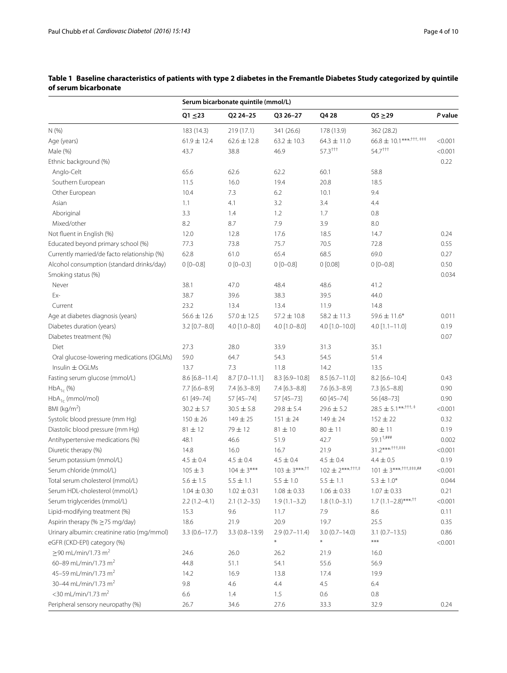|                                             | Serum bicarbonate quintile (mmol/L) |                   |                                      |                                         |                                                         |               |  |
|---------------------------------------------|-------------------------------------|-------------------|--------------------------------------|-----------------------------------------|---------------------------------------------------------|---------------|--|
|                                             | $Q1 \le 23$                         | Q2 24-25          | Q3 26-27                             | Q4 28                                   | $Q5 \geq 29$                                            | P value       |  |
| N(% )                                       | 183 (14.3)                          | 219 (17.1)        | 341 (26.6)                           | 178 (13.9)                              | 362 (28.2)                                              |               |  |
| Age (years)                                 | $61.9 \pm 12.4$                     | $62.6 \pm 12.8$   | $63.2 \pm 10.3$                      | $64.3 \pm 11.0$                         | $66.8 \pm 10.1***$ <sup>+++</sup> $,$ <sup>+++</sup>    | < 0.001       |  |
| Male (%)                                    | 43.7                                | 38.8              | 46.9                                 | $57.3$ <sup><math>+ +</math>†</sup>     | $54.7$ <sup>+++</sup>                                   | < 0.001       |  |
| Ethnic background (%)                       |                                     |                   |                                      |                                         |                                                         | 0.22          |  |
| Anglo-Celt                                  | 65.6                                | 62.6              | 62.2                                 | 60.1                                    | 58.8                                                    |               |  |
| Southern European                           | 11.5                                | 16.0              | 19.4                                 | 20.8                                    | 18.5                                                    |               |  |
| Other European                              | 10.4                                | 7.3               | 6.2                                  | 10.1                                    | 9.4                                                     |               |  |
| Asian                                       | 1.1                                 | 4.1               | 3.2                                  | 3.4                                     | 4.4                                                     |               |  |
| Aboriginal                                  | 3.3                                 | 1.4               | 1.2                                  | 1.7                                     | 0.8                                                     |               |  |
| Mixed/other                                 | 8.2                                 | 8.7               | 7.9                                  | 3.9                                     | 8.0                                                     |               |  |
| Not fluent in English (%)                   | 12.0                                | 12.8              | 17.6                                 | 18.5                                    | 14.7                                                    | 0.24          |  |
| Educated beyond primary school (%)          | 77.3                                | 73.8              | 75.7                                 | 70.5                                    | 72.8                                                    | 0.55          |  |
| Currently married/de facto relationship (%) | 62.8                                | 61.0              | 65.4                                 | 68.5                                    | 69.0                                                    | 0.27          |  |
| Alcohol consumption (standard drinks/day)   | $0 [0 - 0.8]$                       | $0 [0 - 0.3]$     | $0 [0 - 0.8]$                        | 0[0.08]                                 | $0 [0 - 0.8]$                                           | 0.50          |  |
| Smoking status (%)                          |                                     |                   |                                      |                                         |                                                         | 0.034         |  |
| Never                                       | 38.1                                | 47.0              | 48.4                                 | 48.6                                    | 41.2                                                    |               |  |
| Ex-                                         | 38.7                                | 39.6              | 38.3                                 | 39.5                                    | 44.0                                                    |               |  |
| Current                                     | 23.2                                | 13.4              | 13.4                                 | 11.9                                    | 14.8                                                    |               |  |
| Age at diabetes diagnosis (years)           | $56.6 \pm 12.6$                     | $57.0 \pm 12.5$   | $57.2 \pm 10.8$                      | $58.2 \pm 11.3$                         | $59.6 \pm 11.6*$                                        | 0.011         |  |
| Diabetes duration (years)                   | $3.2$ [0.7-8.0]                     | $4.0$ [1.0-8.0]   | $4.0$ [1.0-8.0]                      | 4.0 [1.0-10.0]                          | $4.0$ [1.1-11.0]                                        | 0.19          |  |
| Diabetes treatment (%)                      |                                     |                   |                                      |                                         |                                                         | 0.07          |  |
| Diet                                        | 27.3                                | 28.0              | 33.9                                 | 31.3                                    | 35.1                                                    |               |  |
| Oral glucose-lowering medications (OGLMs)   | 59.0                                | 64.7              | 54.3                                 | 54.5                                    | 51.4                                                    |               |  |
| Insulin $\pm$ OGLMs                         | 13.7                                | 7.3               | 11.8                                 | 14.2                                    | 13.5                                                    |               |  |
| Fasting serum glucose (mmol/L)              | $8.6$ [6.8-11.4]                    | $8.7$ [7.0-11.1]  | 8.3 [6.9-10.8]                       | $8.5$ [6.7-11.0]                        | 8.2 [6.6-10.4]                                          | 0.43          |  |
| $HbA_{1c}$ (%)                              | $7.7$ [6.6-8.9]                     | $7.4 [6.3 - 8.9]$ | $7.4 [6.3 - 8.8]$                    | $7.6$ [6.3-8.9]                         | $7.3$ [6.5-8.8]                                         | 0.90          |  |
| $HbA_{1c}$ (mmol/mol)                       | 61 [49-74]                          | 57 [45-74]        | 57 [45-73]                           | 60 [45-74]                              | 56 [48-73]                                              | 0.90          |  |
| BMI (kg/m <sup>2</sup> )                    | $30.2 \pm 5.7$                      | $30.5 \pm 5.8$    | $29.8 \pm 5.4$                       | $29.6 \pm 5.2$                          | $28.5 \pm 5.1^{***,\dagger \dagger \dagger,\,\ddagger}$ | < 0.001       |  |
| Systolic blood pressure (mm Hg)             | $150\pm26$                          | $149 \pm 25$      | $151 \pm 24$                         | $149 \pm 24$                            | $152 \pm 22$                                            | 0.32          |  |
|                                             |                                     |                   |                                      |                                         |                                                         |               |  |
| Diastolic blood pressure (mm Hg)            | $81 \pm 12$<br>48.1                 | 79 ± 12<br>46.6   | $81 \pm 10$<br>51.9                  | $80 \pm 11$<br>42.7                     | $80 \pm 11$<br>$59.1^{+, ###}$                          | 0.19<br>0.002 |  |
| Antihypertensive medications (%)            | 14.8                                | 16.0              | 16.7                                 | 21.9                                    | 31.2***********                                         |               |  |
| Diuretic therapy (%)                        |                                     |                   |                                      |                                         |                                                         | < 0.001       |  |
| Serum potassium (mmol/L)                    | $4.5 \pm 0.4$                       | $4.5 \pm 0.4$     | $4.5 \pm 0.4$<br>$103 \pm 3***^{++}$ | $4.5 \pm 0.4$<br>$102 \pm 2***^{+11,+}$ | $4.4 \pm 0.5$<br>$101 \pm 3***$ <sup>++++++++++</sup>   | 0.19          |  |
| Serum chloride (mmol/L)                     | $105 \pm 3$                         | $104 \pm 3***$    |                                      |                                         |                                                         | < 0.001       |  |
| Total serum cholesterol (mmol/L)            | $5.6\pm1.5$                         | $5.5\pm1.1$       | $5.5\pm1.0$                          | $5.5\pm1.1$                             | $5.3 \pm 1.0^{*}$                                       | 0.044         |  |
| Serum HDL-cholesterol (mmol/L)              | $1.04 \pm 0.30$                     | $1.02 \pm 0.31$   | $1.08 \pm 0.33$                      | $1.06 \pm 0.33$                         | $1.07 \pm 0.33$                                         | 0.21          |  |
| Serum triglycerides (mmol/L)                | $2.2(1.2-4.1)$                      | $2.1(1.2-3.5)$    | $1.9(1.1 - 3.2)$                     | $1.8(1.0-3.1)$                          | $1.7(1.1-2.8)$ *** <sup>1†</sup>                        | < 0.001       |  |
| Lipid-modifying treatment (%)               | 15.3                                | 9.6               | 11.7                                 | 7.9                                     | 8.6                                                     | 0.11          |  |
| Aspirin therapy (% ≥75 mg/day)              | 18.6                                | 21.9              | 20.9                                 | 19.7                                    | 25.5                                                    | 0.35          |  |
| Urinary albumin: creatinine ratio (mg/mmol) | $3.3(0.6 - 17.7)$                   | $3.3(0.8 - 13.9)$ | $2.9(0.7 - 11.4)$                    | $3.0(0.7 - 14.0)$                       | $3.1(0.7-13.5)$                                         | 0.86          |  |
| eGFR (CKD-EPI) category (%)                 |                                     |                   | $\ast$                               | $\ast$                                  | $***$                                                   | < 0.001       |  |
| $\geq$ 90 mL/min/1.73 m <sup>2</sup>        | 24.6                                | 26.0              | 26.2                                 | 21.9                                    | 16.0                                                    |               |  |
| 60-89 mL/min/1.73 m <sup>2</sup>            | 44.8                                | 51.1              | 54.1                                 | 55.6                                    | 56.9                                                    |               |  |
| 45-59 mL/min/1.73 m <sup>2</sup>            | 14.2                                | 16.9              | 13.8                                 | 17.4                                    | 19.9                                                    |               |  |
| 30-44 mL/min/1.73 m <sup>2</sup>            | 9.8                                 | 4.6               | 4.4                                  | 4.5                                     | 6.4                                                     |               |  |
| <30 mL/min/1.73 m <sup>2</sup>              | 6.6                                 | 1.4               | 1.5                                  | 0.6                                     | 0.8                                                     |               |  |
| Peripheral sensory neuropathy (%)           | 26.7                                | 34.6              | 27.6                                 | 33.3                                    | 32.9                                                    | 0.24          |  |

<span id="page-3-0"></span>**Table 1 Baseline characteristics of patients with type 2 diabetes in the Fremantle Diabetes Study categorized by quintile of serum bicarbonate**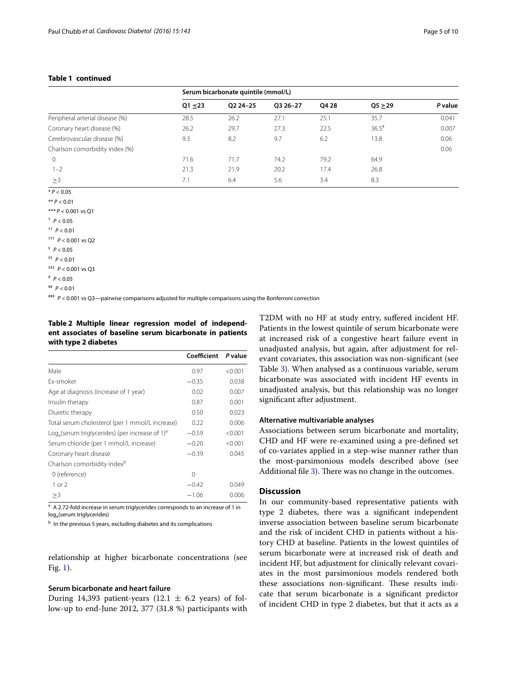#### **Table 1 continued**

|                                 | Serum bicarbonate quintile (mmol/L) |            |            |       |                     |         |
|---------------------------------|-------------------------------------|------------|------------|-------|---------------------|---------|
|                                 | $Q1 \le 23$                         | 02 24 - 25 | 03 26 - 27 | Q4 28 | Q5 > 29             | P value |
| Peripheral arterial disease (%) | 28.5                                | 26.2       | 27.1       | 25.1  | 35.7                | 0.041   |
| Coronary heart disease (%)      | 26.2                                | 29.7       | 27.3       | 22.5  | $36.5$ <sup>#</sup> | 0.007   |
| Cerebrovascular disease (%)     | 9.3                                 | 8.2        | 9.7        | 6.2   | 13.8                | 0.06    |
| Charlson comorbidity index (%)  |                                     |            |            |       |                     | 0.06    |
| $\Omega$                        | 71.6                                | 71.7       | 74.2       | 79.2  | 64.9                |         |
| $1 - 2$                         | 21.3                                | 21.9       | 20.2       | 17.4  | 26.8                |         |
| >3                              | 7.1                                 | 6.4        | 5.6        | 3.4   | 8.3                 |         |

<sup>\*</sup> *P* < 0.05

 $**$  *P* < 0.01 \*\*\* *P* < 0.001 vs Q1

 $p < 0.05$ 

†† *P* < 0.01

††† *P* < 0.001 vs Q2

 $p < 0.05$ 

‡‡ *P* < 0.01

‡‡‡ *P* < 0.001 vs Q3

# *P* < 0.05

### *P* < 0.001 vs Q3—pairwise comparisons adjusted for multiple comparisons using the Bonferroni correction

<span id="page-4-0"></span>**Table 2 Multiple linear regression model of independent associates of baseline serum bicarbonate in patients with type 2 diabetes**

|                                                                                    | Coefficient | P value |
|------------------------------------------------------------------------------------|-------------|---------|
| Male                                                                               | 0.97        | < 0.001 |
| Ex-smoker                                                                          | $-0.35$     | 0.038   |
| Age at diagnosis (increase of 1 year)                                              | 0.02        | 0.007   |
| Insulin therapy                                                                    | 0.87        | 0.001   |
| Diuretic therapy                                                                   | 0.50        | 0.023   |
| Total serum cholesterol (per 1 mmol/L increase)                                    | 0.22        | 0.006   |
| $\text{Log}_{\alpha}(\text{serum triglycerides})$ (per increase of 1) <sup>a</sup> | $-0.59$     | < 0.001 |
| Serum chloride (per 1 mmol/L increase)                                             | $-0.20$     | < 0.001 |
| Coronary heart disease                                                             | $-0.39$     | 0.045   |
| Charlson comorbidity index <sup>b</sup>                                            |             |         |
| 0 (reference)                                                                      | 0           |         |
| $1$ or $2$                                                                         | $-0.42$     | 0.049   |
| >3                                                                                 | $-1.06$     | 0.006   |

<sup>a</sup> A 2.72-fold increase in serum triglycerides corresponds to an increase of 1 in log<sub>e</sub>(serum triglycerides)

b In the previous 5 years, excluding diabetes and its complications

relationship at higher bicarbonate concentrations (see Fig. [1\)](#page-5-1).

#### **Serum bicarbonate and heart failure**

During 14,393 patient-years (12.1  $\pm$  6.2 years) of follow-up to end-June 2012, 377 (31.8 %) participants with T2DM with no HF at study entry, suffered incident HF. Patients in the lowest quintile of serum bicarbonate were at increased risk of a congestive heart failure event in unadjusted analysis, but again, after adjustment for relevant covariates, this association was non-significant (see Table [3\)](#page-5-0). When analysed as a continuous variable, serum bicarbonate was associated with incident HF events in unadjusted analysis, but this relationship was no longer significant after adjustment.

#### **Alternative multivariable analyses**

Associations between serum bicarbonate and mortality, CHD and HF were re-examined using a pre-defined set of co-variates applied in a step-wise manner rather than the most-parsimonious models described above (see Additional file [3](#page-8-7)). There was no change in the outcomes.

#### **Discussion**

In our community-based representative patients with type 2 diabetes, there was a significant independent inverse association between baseline serum bicarbonate and the risk of incident CHD in patients without a history CHD at baseline. Patients in the lowest quintiles of serum bicarbonate were at increased risk of death and incident HF, but adjustment for clinically relevant covariates in the most parsimonious models rendered both these associations non-significant. These results indicate that serum bicarbonate is a significant predictor of incident CHD in type 2 diabetes, but that it acts as a

<sup>##</sup> *P* < 0.01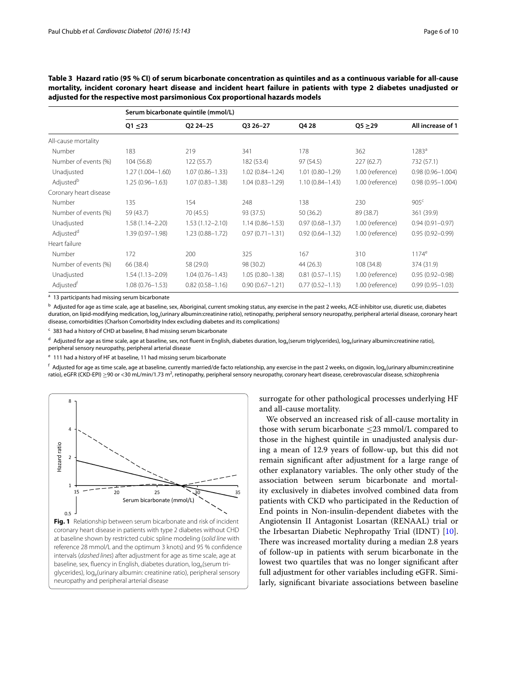|                        | Serum bicarbonate quintile (mmol/L) |                     |                     |                     |                  |                      |  |  |
|------------------------|-------------------------------------|---------------------|---------------------|---------------------|------------------|----------------------|--|--|
|                        | $Q1 \le 23$                         | Q2 24-25            | Q3 26-27            | Q4 28               | Q5 > 29          | All increase of 1    |  |  |
| All-cause mortality    |                                     |                     |                     |                     |                  |                      |  |  |
| Number                 | 183                                 | 219                 | 341                 | 178                 | 362              | $1283^{\circ}$       |  |  |
| Number of events (%)   | 104 (56.8)                          | 122(55.7)           | 182 (53.4)          | 97 (54.5)           | 227(62.7)        | 732 (57.1)           |  |  |
| Unadjusted             | $1.27(1.004 - 1.60)$                | $1.07(0.86 - 1.33)$ | $1.02(0.84 - 1.24)$ | $1.01(0.80 - 1.29)$ | 1.00 (reference) | $0.98(0.96 - 1.004)$ |  |  |
| Adjusted <sup>b</sup>  | $1.25(0.96 - 1.63)$                 | $1.07(0.83 - 1.38)$ | $1.04(0.83 - 1.29)$ | $1.10(0.84 - 1.43)$ | 1.00 (reference) | $0.98(0.95 - 1.004)$ |  |  |
| Coronary heart disease |                                     |                     |                     |                     |                  |                      |  |  |
| Number                 | 135                                 | 154                 | 248                 | 138                 | 230              | 905 <sup>c</sup>     |  |  |
| Number of events (%)   | 59 (43.7)                           | 70 (45.5)           | 93 (37.5)           | 50(36.2)            | 89 (38.7)        | 361 (39.9)           |  |  |
| Unadjusted             | $1.58(1.14 - 2.20)$                 | $1.53(1.12 - 2.10)$ | $1.14(0.86 - 1.53)$ | $0.97(0.68 - 1.37)$ | 1.00 (reference) | $0.94(0.91 - 0.97)$  |  |  |
| Adjusted <sup>d</sup>  | 1.39 (0.97-1.98)                    | $1.23(0.88 - 1.72)$ | $0.97(0.71 - 1.31)$ | $0.92(0.64 - 1.32)$ | 1.00 (reference) | $0.95(0.92 - 0.99)$  |  |  |
| Heart failure          |                                     |                     |                     |                     |                  |                      |  |  |
| Number                 | 172                                 | 200                 | 325                 | 167                 | 310              | $1174^e$             |  |  |
| Number of events (%)   | 66 (38.4)                           | 58 (29.0)           | 98 (30.2)           | 44(26.3)            | 108 (34.8)       | 374 (31.9)           |  |  |
| Unadjusted             | $1.54(1.13 - 2.09)$                 | $1.04(0.76 - 1.43)$ | $1.05(0.80 - 1.38)$ | $0.81(0.57 - 1.15)$ | 1.00 (reference) | $0.95(0.92 - 0.98)$  |  |  |
| Adjusted <sup>t</sup>  | $1.08(0.76 - 1.53)$                 | $0.82(0.58 - 1.16)$ | $0.90(0.67 - 1.21)$ | $0.77(0.52 - 1.13)$ | 1.00 (reference) | $0.99(0.95 - 1.03)$  |  |  |

<span id="page-5-0"></span>**Table 3 Hazard ratio (95 % CI) of serum bicarbonate concentration as quintiles and as a continuous variable for all-cause mortality, incident coronary heart disease and incident heart failure in patients with type 2 diabetes unadjusted or adjusted for the respective most parsimonious Cox proportional hazards models**

<sup>a</sup> 13 participants had missing serum bicarbonate

<sup>b</sup> Adjusted for age as time scale, age at baseline, sex, Aboriginal, current smoking status, any exercise in the past 2 weeks, ACE-inhibitor use, diuretic use, diabetes duration, on lipid-modifying medication, log<sub>e</sub>(urinary albumin:creatinine ratio), retinopathy, peripheral sensory neuropathy, peripheral arterial disease, coronary heart disease, comorbidities (Charlson Comorbidity Index excluding diabetes and its complications)

<sup>c</sup> 383 had a history of CHD at baseline, 8 had missing serum bicarbonate

 $d$  Adjusted for age as time scale, age at baseline, sex, not fluent in English, diabetes duration, log<sub>e</sub>(serum triglycerides), log<sub>e</sub>(urinary albumin:creatinine ratio), peripheral sensory neuropathy, peripheral arterial disease

<sup>e</sup> 111 had a history of HF at baseline, 11 had missing serum bicarbonate

 $f$  Adjusted for age as time scale, age at baseline, currently married/de facto relationship, any exercise in the past 2 weeks, on digoxin, log<sub>e</sub>(urinary albumin:creatinine ratio), eGFR (CKD-EPI)  $\geq$ 90 or <30 mL/min/1.73 m<sup>2</sup>, retinopathy, peripheral sensory neuropathy, coronary heart disease, cerebrovascular disease, schizophrenia



<span id="page-5-1"></span>**Fig. 1** Relationship between serum bicarbonate and risk of incident coronary heart disease in patients with type 2 diabetes without CHD at baseline shown by restricted cubic spline modeling (*solid line* with reference 28 mmol/L and the optimum 3 knots) and 95 % confidence intervals (*dashed lines*) after adjustment for age as time scale, age at baseline, sex, fluency in English, diabetes duration, log<sub>e</sub>(serum triglycerides), log<sub>e</sub>(urinary albumin: creatinine ratio), peripheral sensory neuropathy and peripheral arterial disease

surrogate for other pathological processes underlying HF and all-cause mortality.

We observed an increased risk of all-cause mortality in those with serum bicarbonate ≤23 mmol/L compared to those in the highest quintile in unadjusted analysis during a mean of 12.9 years of follow-up, but this did not remain significant after adjustment for a large range of other explanatory variables. The only other study of the association between serum bicarbonate and mortality exclusively in diabetes involved combined data from patients with CKD who participated in the Reduction of End points in Non-insulin-dependent diabetes with the Angiotensin II Antagonist Losartan (RENAAL) trial or the Irbesartan Diabetic Nephropathy Trial (IDNT) [\[10](#page-9-1)]. There was increased mortality during a median 2.8 years of follow-up in patients with serum bicarbonate in the lowest two quartiles that was no longer significant after full adjustment for other variables including eGFR. Similarly, significant bivariate associations between baseline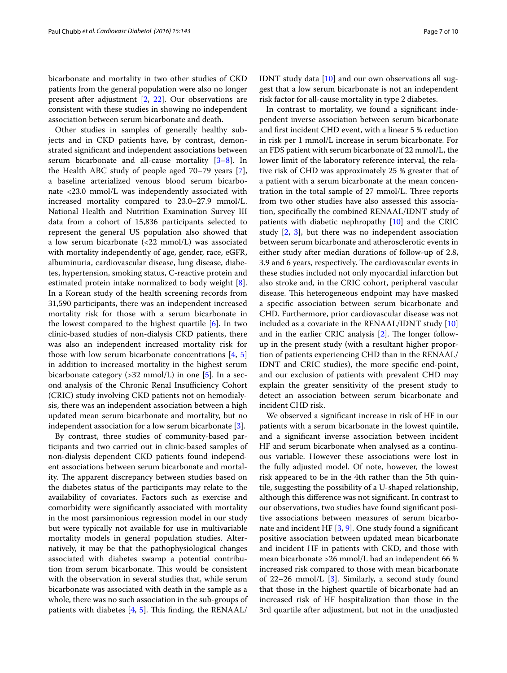bicarbonate and mortality in two other studies of CKD patients from the general population were also no longer present after adjustment [[2,](#page-8-1) [22](#page-9-13)]. Our observations are consistent with these studies in showing no independent association between serum bicarbonate and death.

Other studies in samples of generally healthy subjects and in CKD patients have, by contrast, demonstrated significant and independent associations between serum bicarbonate and all-cause mortality  $[3-8]$  $[3-8]$ . In the Health ABC study of people aged 70–79 years [\[7](#page-8-8)], a baseline arterialized venous blood serum bicarbonate <23.0 mmol/L was independently associated with increased mortality compared to 23.0–27.9 mmol/L. National Health and Nutrition Examination Survey III data from a cohort of 15,836 participants selected to represent the general US population also showed that a low serum bicarbonate (<22 mmol/L) was associated with mortality independently of age, gender, race, eGFR, albuminuria, cardiovascular disease, lung disease, diabetes, hypertension, smoking status, C-reactive protein and estimated protein intake normalized to body weight [\[8](#page-9-14)]. In a Korean study of the health screening records from 31,590 participants, there was an independent increased mortality risk for those with a serum bicarbonate in the lowest compared to the highest quartile [[6\]](#page-8-9). In two clinic-based studies of non-dialysis CKD patients, there was also an independent increased mortality risk for those with low serum bicarbonate concentrations [[4,](#page-8-3) [5](#page-8-4)] in addition to increased mortality in the highest serum bicarbonate category (>32 mmol/L) in one [[5\]](#page-8-4). In a second analysis of the Chronic Renal Insufficiency Cohort (CRIC) study involving CKD patients not on hemodialysis, there was an independent association between a high updated mean serum bicarbonate and mortality, but no independent association for a low serum bicarbonate [\[3](#page-8-2)].

By contrast, three studies of community-based participants and two carried out in clinic-based samples of non-dialysis dependent CKD patients found independent associations between serum bicarbonate and mortality. The apparent discrepancy between studies based on the diabetes status of the participants may relate to the availability of covariates. Factors such as exercise and comorbidity were significantly associated with mortality in the most parsimonious regression model in our study but were typically not available for use in multivariable mortality models in general population studies. Alternatively, it may be that the pathophysiological changes associated with diabetes swamp a potential contribution from serum bicarbonate. This would be consistent with the observation in several studies that, while serum bicarbonate was associated with death in the sample as a whole, there was no such association in the sub-groups of patients with diabetes [\[4](#page-8-3), [5\]](#page-8-4). This finding, the RENAAL/

IDNT study data [\[10](#page-9-1)] and our own observations all suggest that a low serum bicarbonate is not an independent risk factor for all-cause mortality in type 2 diabetes.

In contrast to mortality, we found a significant independent inverse association between serum bicarbonate and first incident CHD event, with a linear 5 % reduction in risk per 1 mmol/L increase in serum bicarbonate. For an FDS patient with serum bicarbonate of 22 mmol/L, the lower limit of the laboratory reference interval, the relative risk of CHD was approximately 25 % greater that of a patient with a serum bicarbonate at the mean concentration in the total sample of 27 mmol/L. Three reports from two other studies have also assessed this association, specifically the combined RENAAL/IDNT study of patients with diabetic nephropathy [[10\]](#page-9-1) and the CRIC study [\[2](#page-8-1), [3](#page-8-2)], but there was no independent association between serum bicarbonate and atherosclerotic events in either study after median durations of follow-up of 2.8, 3.9 and 6 years, respectively. The cardiovascular events in these studies included not only myocardial infarction but also stroke and, in the CRIC cohort, peripheral vascular disease. This heterogeneous endpoint may have masked a specific association between serum bicarbonate and CHD. Furthermore, prior cardiovascular disease was not included as a covariate in the RENAAL/IDNT study [[10](#page-9-1)] and in the earlier CRIC analysis [[2\]](#page-8-1). The longer followup in the present study (with a resultant higher proportion of patients experiencing CHD than in the RENAAL/ IDNT and CRIC studies), the more specific end-point, and our exclusion of patients with prevalent CHD may explain the greater sensitivity of the present study to detect an association between serum bicarbonate and incident CHD risk.

We observed a significant increase in risk of HF in our patients with a serum bicarbonate in the lowest quintile, and a significant inverse association between incident HF and serum bicarbonate when analysed as a continuous variable. However these associations were lost in the fully adjusted model. Of note, however, the lowest risk appeared to be in the 4th rather than the 5th quintile, suggesting the possibility of a U-shaped relationship, although this difference was not significant. In contrast to our observations, two studies have found significant positive associations between measures of serum bicarbonate and incident HF [\[3](#page-8-2), [9\]](#page-9-0). One study found a significant positive association between updated mean bicarbonate and incident HF in patients with CKD, and those with mean bicarbonate >26 mmol/L had an independent 66 % increased risk compared to those with mean bicarbonate of 22–26 mmol/L [\[3](#page-8-2)]. Similarly, a second study found that those in the highest quartile of bicarbonate had an increased risk of HF hospitalization than those in the 3rd quartile after adjustment, but not in the unadjusted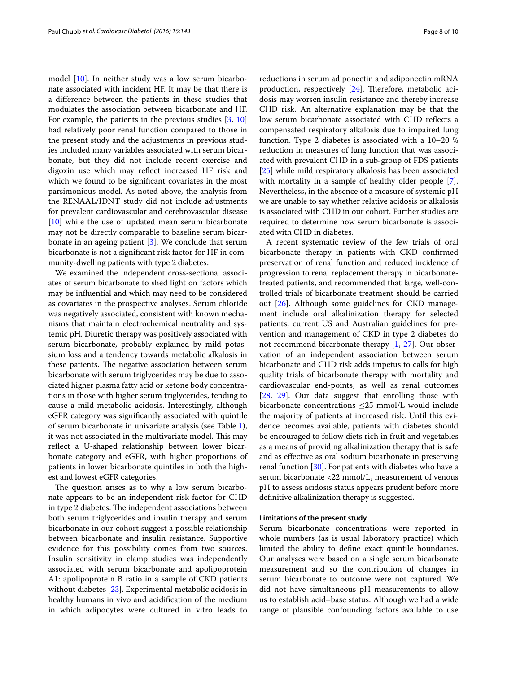model [\[10](#page-9-1)]. In neither study was a low serum bicarbonate associated with incident HF. It may be that there is a difference between the patients in these studies that modulates the association between bicarbonate and HF. For example, the patients in the previous studies [\[3,](#page-8-2) [10](#page-9-1)] had relatively poor renal function compared to those in the present study and the adjustments in previous studies included many variables associated with serum bicarbonate, but they did not include recent exercise and digoxin use which may reflect increased HF risk and which we found to be significant covariates in the most parsimonious model. As noted above, the analysis from the RENAAL/IDNT study did not include adjustments for prevalent cardiovascular and cerebrovascular disease [[10\]](#page-9-1) while the use of updated mean serum bicarbonate may not be directly comparable to baseline serum bicarbonate in an ageing patient [[3\]](#page-8-2). We conclude that serum bicarbonate is not a significant risk factor for HF in community-dwelling patients with type 2 diabetes.

We examined the independent cross-sectional associates of serum bicarbonate to shed light on factors which may be influential and which may need to be considered as covariates in the prospective analyses. Serum chloride was negatively associated, consistent with known mechanisms that maintain electrochemical neutrality and systemic pH. Diuretic therapy was positively associated with serum bicarbonate, probably explained by mild potassium loss and a tendency towards metabolic alkalosis in these patients. The negative association between serum bicarbonate with serum triglycerides may be due to associated higher plasma fatty acid or ketone body concentrations in those with higher serum triglycerides, tending to cause a mild metabolic acidosis. Interestingly, although eGFR category was significantly associated with quintile of serum bicarbonate in univariate analysis (see Table [1](#page-3-0)), it was not associated in the multivariate model. This may reflect a U-shaped relationship between lower bicarbonate category and eGFR, with higher proportions of patients in lower bicarbonate quintiles in both the highest and lowest eGFR categories.

The question arises as to why a low serum bicarbonate appears to be an independent risk factor for CHD in type 2 diabetes. The independent associations between both serum triglycerides and insulin therapy and serum bicarbonate in our cohort suggest a possible relationship between bicarbonate and insulin resistance. Supportive evidence for this possibility comes from two sources. Insulin sensitivity in clamp studies was independently associated with serum bicarbonate and apolipoprotein A1: apolipoprotein B ratio in a sample of CKD patients without diabetes [\[23\]](#page-9-15). Experimental metabolic acidosis in healthy humans in vivo and acidification of the medium in which adipocytes were cultured in vitro leads to reductions in serum adiponectin and adiponectin mRNA production, respectively [[24\]](#page-9-16). Therefore, metabolic acidosis may worsen insulin resistance and thereby increase CHD risk. An alternative explanation may be that the low serum bicarbonate associated with CHD reflects a compensated respiratory alkalosis due to impaired lung function. Type 2 diabetes is associated with a 10–20 % reduction in measures of lung function that was associated with prevalent CHD in a sub-group of FDS patients [[25\]](#page-9-17) while mild respiratory alkalosis has been associated with mortality in a sample of healthy older people [\[7](#page-8-8)]. Nevertheless, in the absence of a measure of systemic pH we are unable to say whether relative acidosis or alkalosis is associated with CHD in our cohort. Further studies are required to determine how serum bicarbonate is associated with CHD in diabetes.

A recent systematic review of the few trials of oral bicarbonate therapy in patients with CKD confirmed preservation of renal function and reduced incidence of progression to renal replacement therapy in bicarbonatetreated patients, and recommended that large, well-controlled trials of bicarbonate treatment should be carried out [\[26](#page-9-18)]. Although some guidelines for CKD management include oral alkalinization therapy for selected patients, current US and Australian guidelines for prevention and management of CKD in type 2 diabetes do not recommend bicarbonate therapy [[1,](#page-8-0) [27\]](#page-9-19). Our observation of an independent association between serum bicarbonate and CHD risk adds impetus to calls for high quality trials of bicarbonate therapy with mortality and cardiovascular end-points, as well as renal outcomes [[28,](#page-9-20) [29\]](#page-9-21). Our data suggest that enrolling those with bicarbonate concentrations  $\leq$ 25 mmol/L would include the majority of patients at increased risk. Until this evidence becomes available, patients with diabetes should be encouraged to follow diets rich in fruit and vegetables as a means of providing alkalinization therapy that is safe and as effective as oral sodium bicarbonate in preserving renal function [\[30\]](#page-9-22). For patients with diabetes who have a serum bicarbonate <22 mmol/L, measurement of venous pH to assess acidosis status appears prudent before more definitive alkalinization therapy is suggested.

#### **Limitations of the present study**

Serum bicarbonate concentrations were reported in whole numbers (as is usual laboratory practice) which limited the ability to define exact quintile boundaries. Our analyses were based on a single serum bicarbonate measurement and so the contribution of changes in serum bicarbonate to outcome were not captured. We did not have simultaneous pH measurements to allow us to establish acid–base status. Although we had a wide range of plausible confounding factors available to use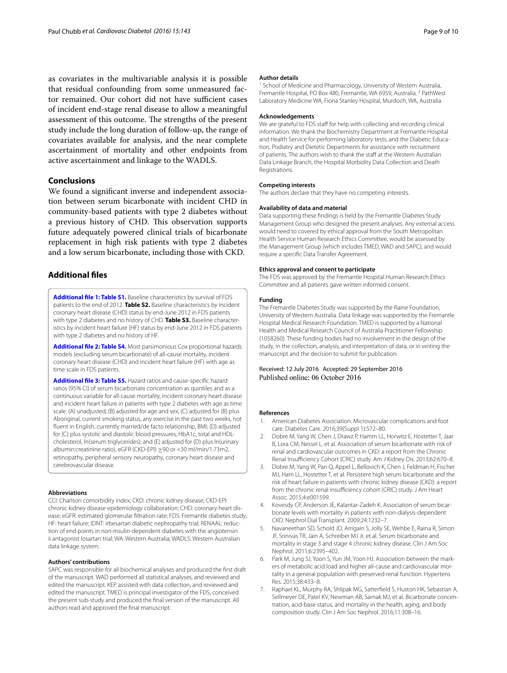as covariates in the multivariable analysis it is possible that residual confounding from some unmeasured factor remained. Our cohort did not have sufficient cases of incident end-stage renal disease to allow a meaningful assessment of this outcome. The strengths of the present study include the long duration of follow-up, the range of covariates available for analysis, and the near complete ascertainment of mortality and other endpoints from active ascertainment and linkage to the WADLS.

#### **Conclusions**

We found a significant inverse and independent association between serum bicarbonate with incident CHD in community-based patients with type 2 diabetes without a previous history of CHD. This observation supports future adequately powered clinical trials of bicarbonate replacement in high risk patients with type 2 diabetes and a low serum bicarbonate, including those with CKD.

#### **Additional files**

<span id="page-8-5"></span>**[Additional file 1: Table S1.](http://dx.doi.org/10.1186/s12933-016-0462-x)** Baseline characteristics by survival of FDS patients to the end of 2012. **Table S2.** Baseline characteristics by incident coronary heart disease (CHD) status by end-June 2012 in FDS patients with type 2 diabetes and no history of CHD. **Table S3.** Baseline characteristics by incident heart failure (HF) status by end-June 2012 in FDS patients with type 2 diabetes and no history of HF.

<span id="page-8-6"></span>**[Additional file 2: Table S4.](http://dx.doi.org/10.1186/s12933-016-0462-x)** Most parsimonious Cox proportional hazards models (excluding serum bicarbonate) of all-cause mortality, incident coronary heart disease (CHD) and incident heart failure (HF) with age as time scale in FDS patients.

<span id="page-8-7"></span>**[Additional file 3: Table S5.](http://dx.doi.org/10.1186/s12933-016-0462-x)** Hazard ratios and cause-specific hazard ratios (95% CI) of serum bicarbonate concentration as quintiles and as a continuous variable for all-cause mortality, incident coronary heart disease and incident heart failure in patients with type 2 diabetes with age as time scale. (A) unadjusted; (B) adjusted for age and sex; (C) adjusted for (B) plus Aboriginal, current smoking status, any exercise in the past two weeks, not fluent in English, currently married/de facto relationship, BMI; (D) adjusted for (C) plus systolic and diastolic blood pressures, HbA1c, total and HDLcholesterol, ln(serum triglycerides); and (E) adjusted for (D) plus ln(urinary albumin:creatinine ratio), eGFR (CKD-EPI) ≥90 or <30 ml/min/1.73m2, retinopathy, peripheral sensory neuropathy, coronary heart disease and cerebrovascular disease.

#### **Abbreviations**

CCI: Charlson comorbidity index; CKD: chronic kidney disease; CKD-EPI: chronic kidney disease epidemiology collaboration; CHD: coronary heart disease; eGFR: estimated glomerular filtration rate; FDS: Fremantle diabetes study; HF: heart failure; IDNT: irbesartan diabetic nephropathy trial; RENAAL: reduction of end points in non-insulin-dependent diabetes with the angiotensin ii antagonist losartan trial; WA: Western Australia; WADLS: Western Australian data linkage system.

#### **Authors' contributions**

SAPC was responsible for all biochemical analyses and produced the first draft of the manuscript. WAD performed all statistical analyses, and reviewed and edited the manuscript. KEP assisted with data collection, and reviewed and edited the manuscript. TMED is principal investigator of the FDS, conceived the present sub-study and produced the final version of the manuscript. All authors read and approved the final manuscript.

#### **Author details**

School of Medicine and Pharmacology, University of Western Australia, Fremantle Hospital, PO Box 480, Fremantle, WA 6959, Australia.<sup>2</sup> PathWest Laboratory Medicine WA, Fiona Stanley Hospital, Murdoch, WA, Australia.

#### **Acknowledgements**

We are grateful to FDS staff for help with collecting and recording clinical information. We thank the Biochemistry Department at Fremantle Hospital and Health Service for performing laboratory tests, and the Diabetic Education, Podiatry and Dietetic Departments for assistance with recruitment of patients. The authors wish to thank the staff at the Western Australian Data Linkage Branch, the Hospital Morbidity Data Collection and Death Registrations.

#### **Competing interests**

The authors declare that they have no competing interests.

#### **Availability of data and material**

Data supporting these findings is held by the Fremantle Diabetes Study Management Group who designed the present analyses. Any external access would need to covered by ethical approval from the South Metropolitan Health Service Human Research Ethics Committee, would be assessed by the Management Group (which includes TMED, WAD and SAPC), and would require a specific Data Transfer Agreement.

#### **Ethics approval and consent to participate**

The FDS was approved by the Fremantle Hospital Human Research Ethics Committee and all patients gave written informed consent.

#### **Funding**

The Fremantle Diabetes Study was supported by the Raine Foundation, University of Western Australia. Data linkage was supported by the Fremantle Hospital Medical Research Foundation. TMED is supported by a National Health and Medical Research Council of Australia Practitioner Fellowship (1058260). These funding bodies had no involvement in the design of the study, in the collection, analysis, and interpretation of data, or in writing the manuscript and the decision to submit for publication.

#### Received: 12 July 2016 Accepted: 29 September 2016 Published online: 06 October 2016

#### **References**

- <span id="page-8-0"></span>1. American Diabetes Association. Microvascular complications and foot care. Diabetes Care. 2016;39(Suppl 1):S72–80.
- <span id="page-8-1"></span>2. Dobre M, Yang W, Chen J, Drawz P, Hamm LL, Horwitz E, Hostetter T, Jaar B, Lora CM, Nessel L, et al. Association of serum bicarbonate with risk of renal and cardiovascular outcomes in CKD: a report from the Chronic Renal Insufficiency Cohort (CRIC) study. Am J Kidney Dis. 2013;62:670–8.
- <span id="page-8-2"></span>3. Dobre M, Yang W, Pan Q, Appel L, Bellovich K, Chen J, Feldman H, Fischer MJ, Ham LL, Hostetter T, et al. Persistent high serum bicarbonate and the risk of heart failure in patients with chronic kidney disease (CKD): a report from the chronic renal insufficiency cohort (CRIC) study. J Am Heart Assoc. 2015;4:e001599.
- <span id="page-8-3"></span>4. Kovesdy CP, Anderson JE, Kalantar-Zadeh K. Association of serum bicarbonate levels with mortality in patients with non-dialysis-dependent CKD. Nephrol Dial Transplant. 2009;24:1232–7.
- <span id="page-8-4"></span>5. Navaneethan SD, Schold JD, Arrigain S, Jolly SE, Wehbe E, Raina R, Simon JF, Srinivas TR, Jain A, Schreiber MJ Jr, et al. Serum bicarbonate and mortality in stage 3 and stage 4 chronic kidney disease. Clin J Am Soc Nephrol. 2011;6:2395–402.
- <span id="page-8-9"></span>6. Park M, Jung SJ, Yoon S, Yun JM, Yoon HJ. Association between the markers of metabolic acid load and higher all-cause and cardiovascular mortality in a general population with preserved renal function. Hypertens Res. 2015;38:433–8.
- <span id="page-8-8"></span>7. Raphael KL, Murphy RA, Shlipak MG, Satterfield S, Huston HK, Sebastian A, Sellmeyer DE, Patel KV, Newman AB, Sarnak MJ, et al. Bicarbonate concentration, acid-base status, and mortality in the health, aging, and body composition study. Clin J Am Soc Nephrol. 2016;11:308–16.